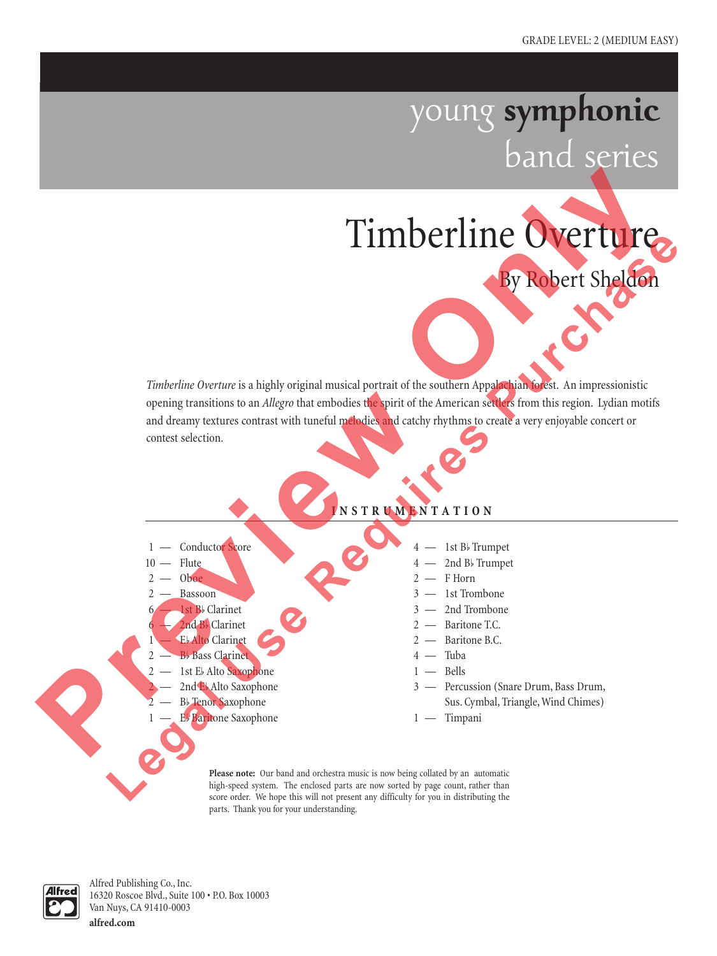## **oung symphonic** band series

Timberline Overture By Robert Sheldon

*Timberline Overture* is a highly original musical portrait of the southern Appalachian forest. An impressionistic opening transitions to an *Allegro* that embodies the spirit of the American settlers from this region. Lydian motifs and dreamy textures contrast with tuneful melodies and catchy rhythms to create a very enjoyable concert or contest selection.



**Please note:** Our band and orchestra music is now being collated by an automatic high-speed system. The enclosed parts are now sorted by page count, rather than score order. We hope this will not present any difficulty for you in distributing the parts. Thank you for your understanding.



Alfred Publishing Co., Inc. 16320 Roscoe Blvd., Suite 100 • P.O. Box 10003 Van Nuys, CA 91410-0003 **alfred.com**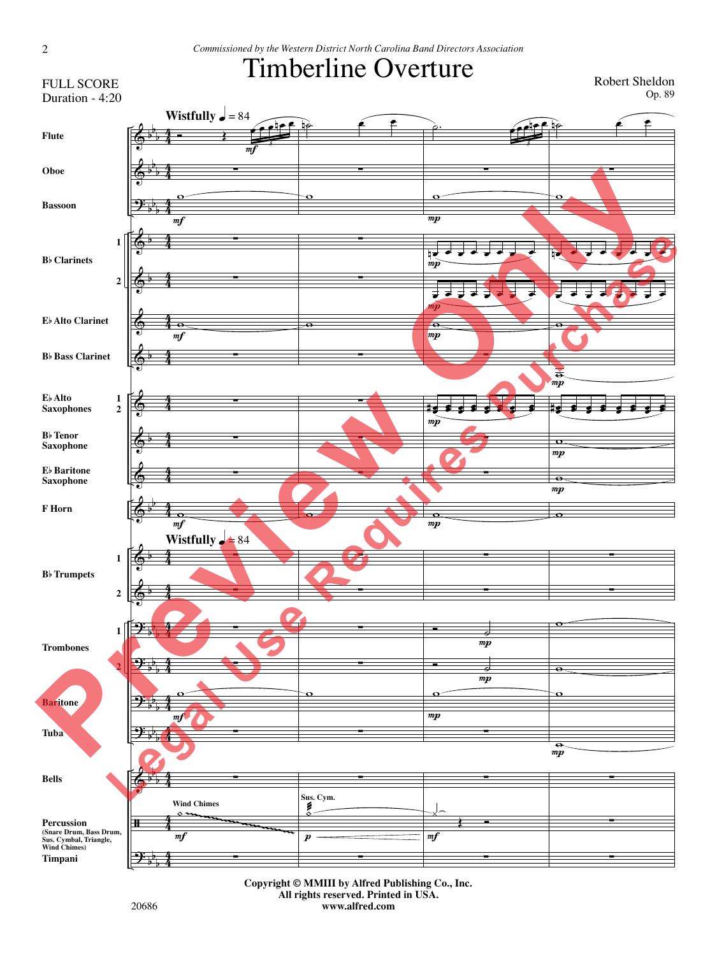*Commissioned by the Western District North Carolina Band Directors Association*

## Timberline Overture

 $\Phi$  $\Phi$ <u>.</u>  $\pmb{\Phi}$  $\Phi$  $\Phi$  $\Phi$ &  $\Phi$ &  $\Phi$  $\Phi$  $\Phi$ <u>.</u>  $\ddot{\textbf{r}}$  $\overline{\mathbf{P}}$ <u>.</u> & ã <u>.</u> b b b b b b b b b b b b b b b b b b b b b b b b b b b b b b b b b b b 4 4 4 4 4 4 4 4 4 4 4 4 4 4 4 4 4 4 4 4 4 4 4 4  $\frac{4}{4}$ 4  $\frac{4}{4}$ 4 4 4 4 4 4 4 4 4 4 4  $rac{4}{4}$ 4 **Flute Oboe Bassoon E**b **Alto Clarinet B**b **Bass Clarinet E**b **Alto Saxophones B**b **Tenor Saxophone E**b **Baritone Saxophone F Horn Baritone Tuba Bells Timpani B**b **Clarinets B**b **Trumpets Trombones 1 2 1 2 1 2 1 2 Percussion** ~~~~~~~~~~~~~~~~~~~~~~~~~~ **Wistfully**  $\frac{1}{2} = 84$ **Wistfully**  $\neq 84$  $\overline{\phantom{a}}$ F *<sup>5</sup>*  $\widetilde{\mathbb{C}}$ ∑  $m<sub>i</sub>$  $\mathbf{Q}$ ∑ ∑  $m f$  $\overline{\bullet}$ ∑ ∑ ∑ ∑  $m f$  $\overline{\mathbf{o}}$ ∑ ∑ ∑ ∑  $m f$  $\mathbf{o}$ ∑ ∑  $m f$ Wind Chimes ∑  $\overrightarrow{r}$ ∑  $\mathbf{o}$ ∑ ∑  $\overline{\bullet}$ ∑ ∑ ∑ ∑ w ∑ ∑ ∑ ∑  $\mathbf{o}$ ∑ ∑ **Sus. Cym.** p O æ ∑ <u>َم</u> *5*  $\epsilon$ ∑  $\overline{mp}$  $\overline{\mathbf{o}}$  $\frac{1}{mp}$  $\overline{P}$   $\overline{C}$   $\overline{C}$   $\overline{C}$   $\overline{C}$   $\overline{C}$   $\overline{C}$   $\overline{C}$   $\overline{C}$   $\overline{C}$   $\overline{C}$   $\overline{C}$   $\overline{C}$   $\overline{C}$   $\overline{C}$   $\overline{C}$   $\overline{C}$   $\overline{C}$   $\overline{C}$   $\overline{C}$   $\overline{C}$   $\overline{C}$   $\overline{C}$   $\overline{C}$   $\overline{$  $\widehat{\mathbb{F}^p}$ **;** ; ; ; ; <del>;</del> ; ;  $mp$  $\overline{\bullet}$ ∑  $m$  $p$  $\bullet$  . . . . . . . . ∑ ∑  $mp$  $\Omega$ ∑ ∑ <u>i</u>  $\overline{mp}$  $\overline{\phantom{a}}$ <u>i</u>  $\overline{mp}$  $\overline{\phantom{a}}$  $\boldsymbol{m}\boldsymbol{p}$  $\mathbf{o}$ ∑ ∑  $m f$  $\overline{\mathbf{r}^{\prime}}$   $\overline{\mathbf{r}^{\prime}}$ ∑  $\overrightarrow{r}$ ∑  $\mathbf{Q}$ **. . . . . . . .** . œ œ œ œ œ œ œ œ  $\overline{\bullet}$  $\sum_{m,p}$  $\overline{\bullet}$ .<br>. . . . . . . . .  $\overline{mp}$  $\mathbf{\overline{v}}$  $\mathbf{m}$  $\overline{\bullet}$  $\overline{\mathbf{O}}$ ∑ ∑  $\mathbf{o}$  $\overline{\bullet}$  $\mathbf{o}$  $\boldsymbol{m}$  $\overline{\bullet}$ ∑ ∑ ∑ Robert Sheldon Op. 89 FULL SCORE Duration - 4:20 **(Snare Drum, Bass Drum, Sus. Cymbal, Triangle, Wind Chimes) Preview Only Legal Use Requires Purchase**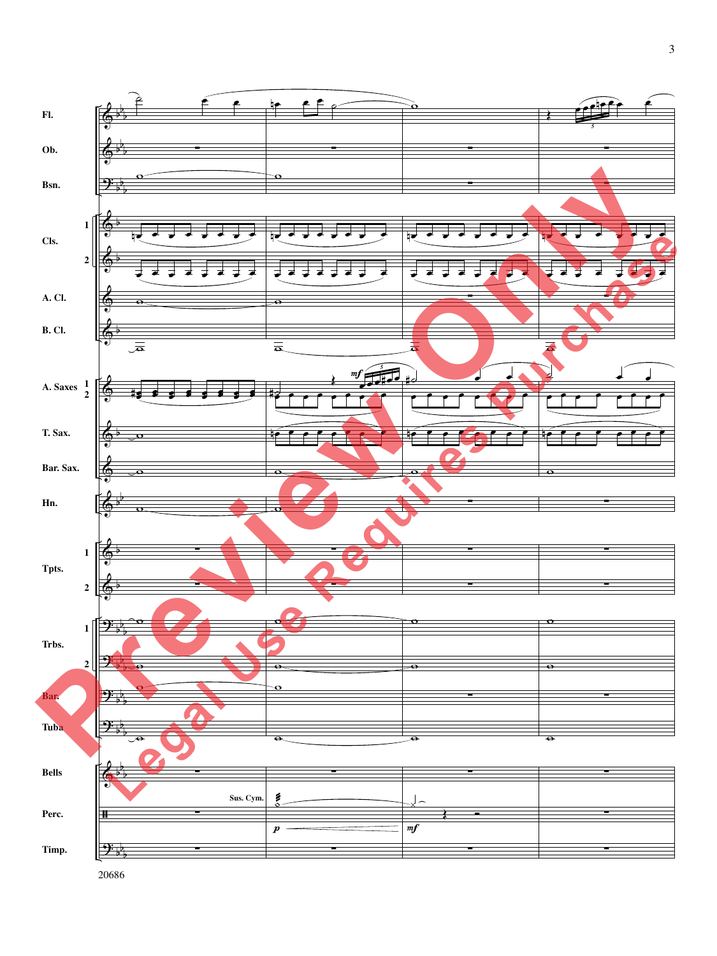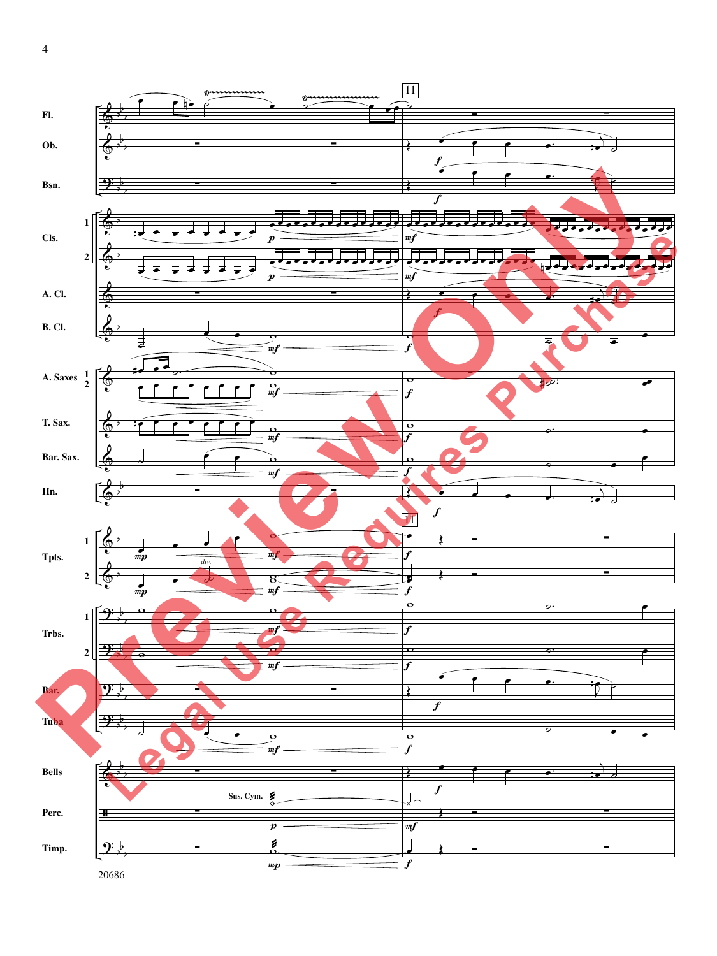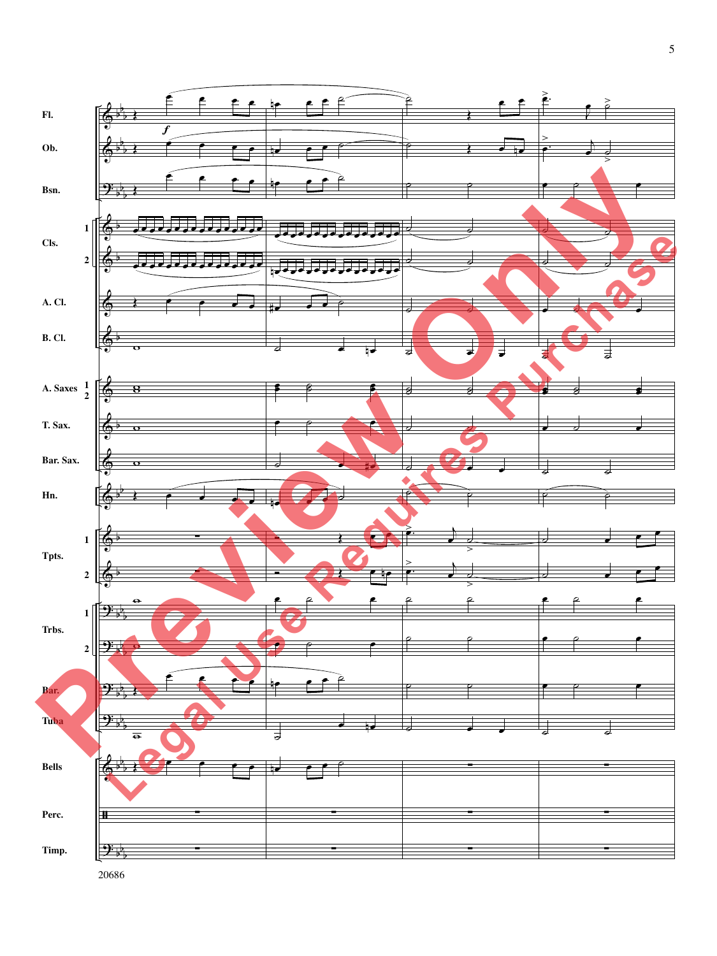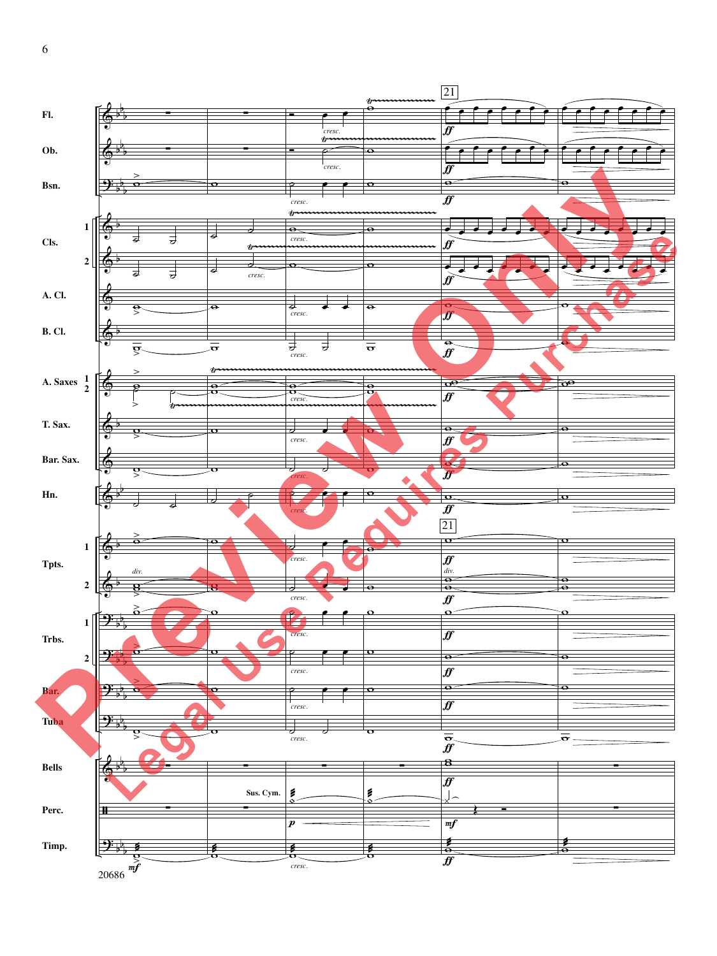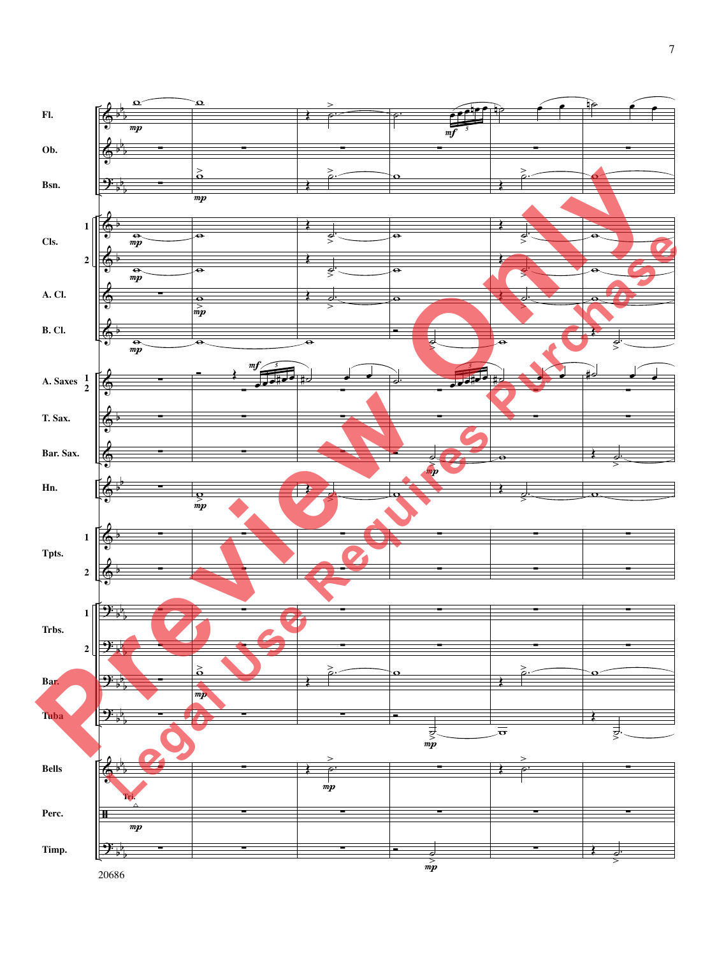

 $\boldsymbol{7}$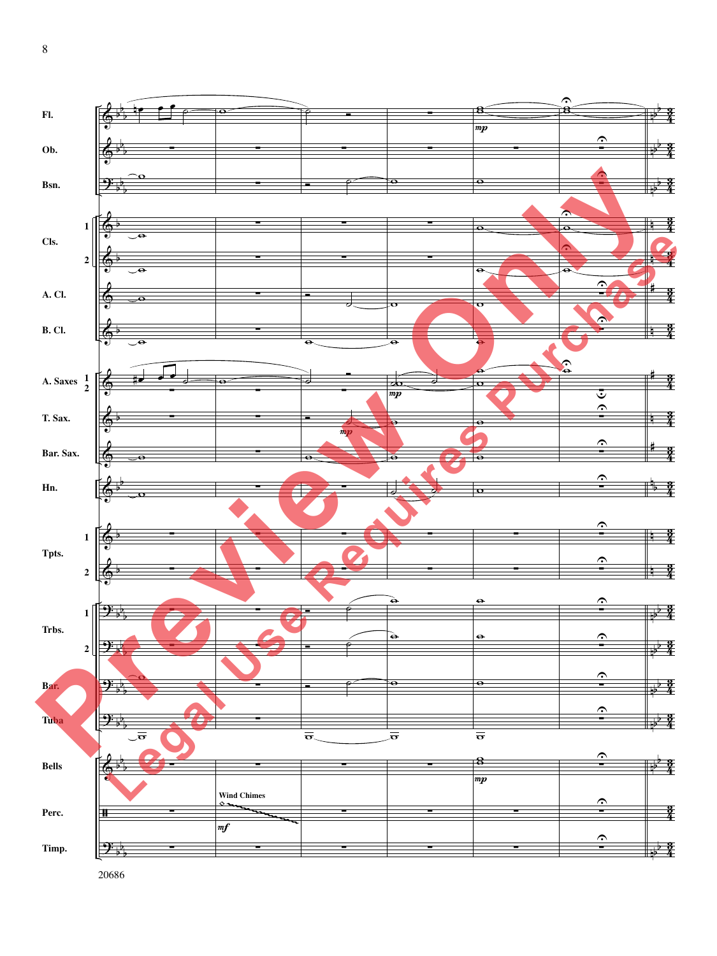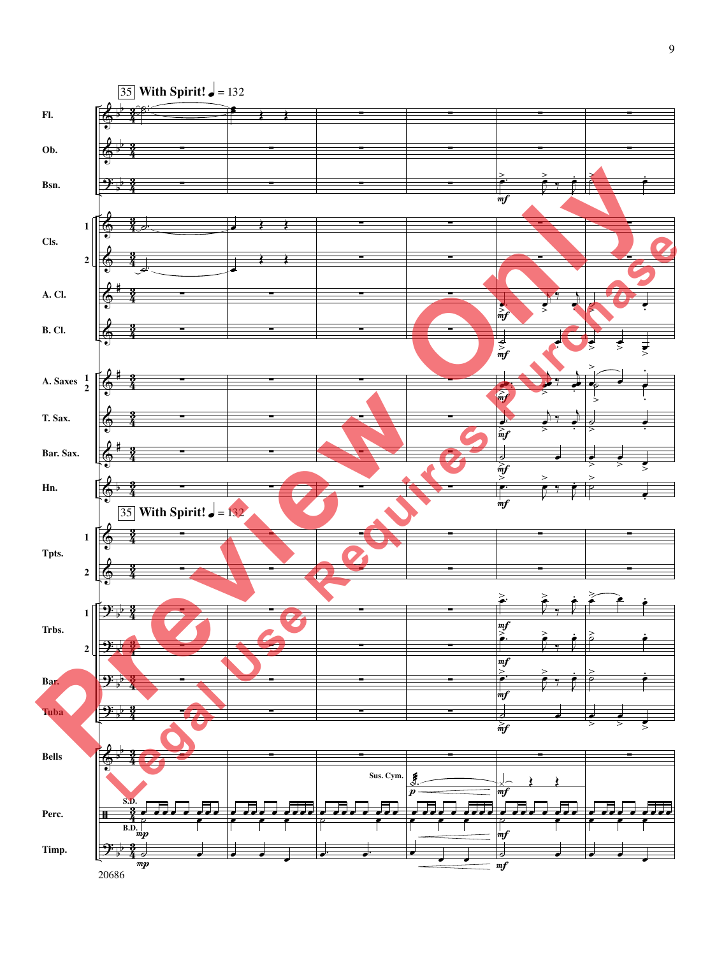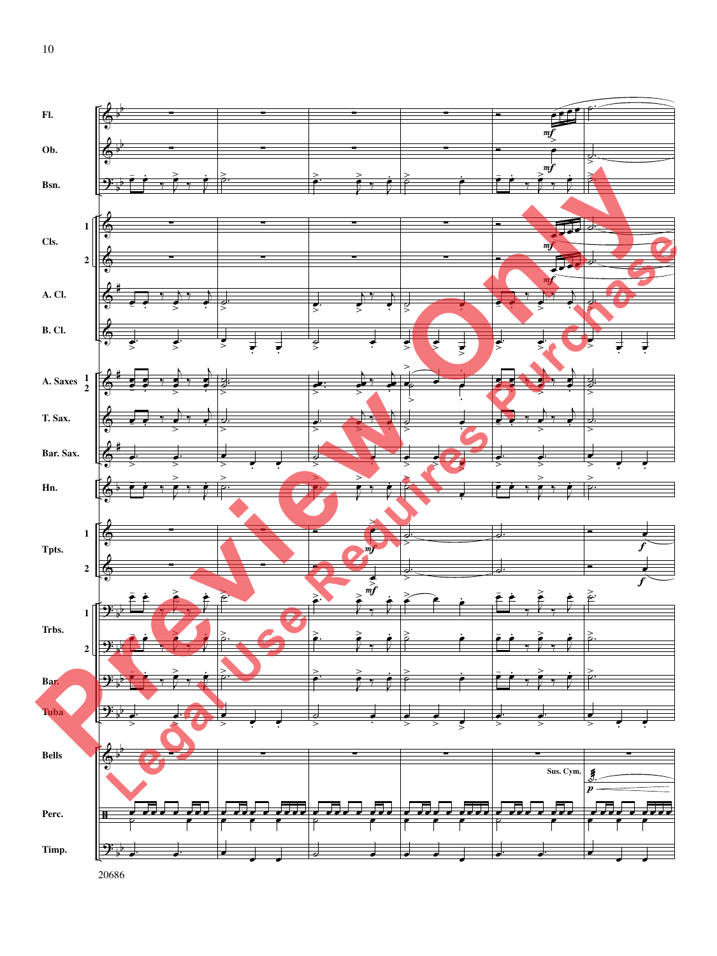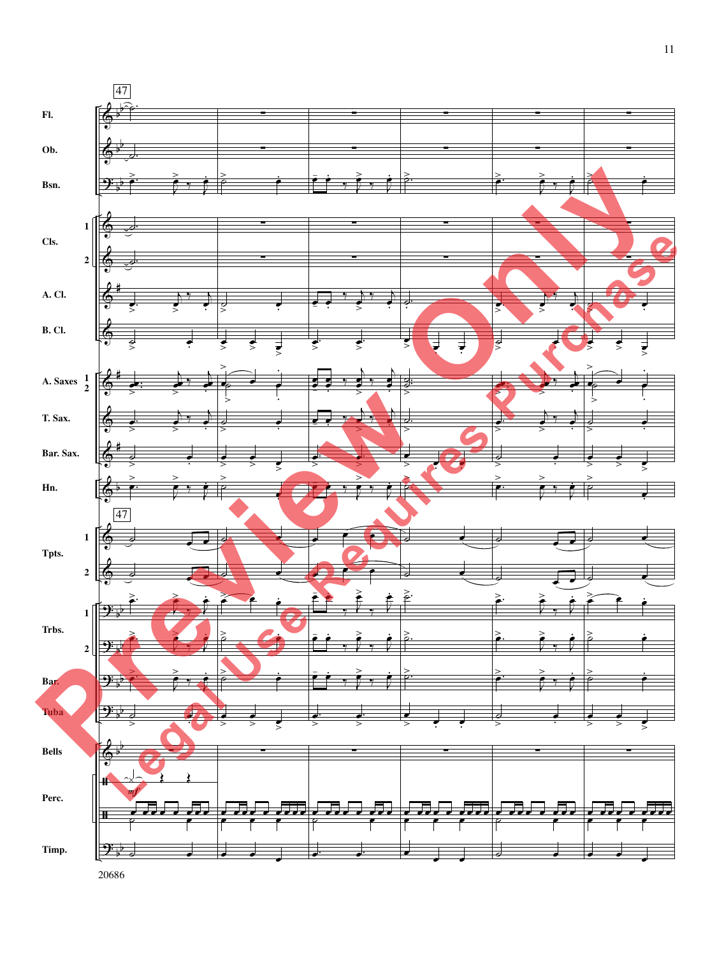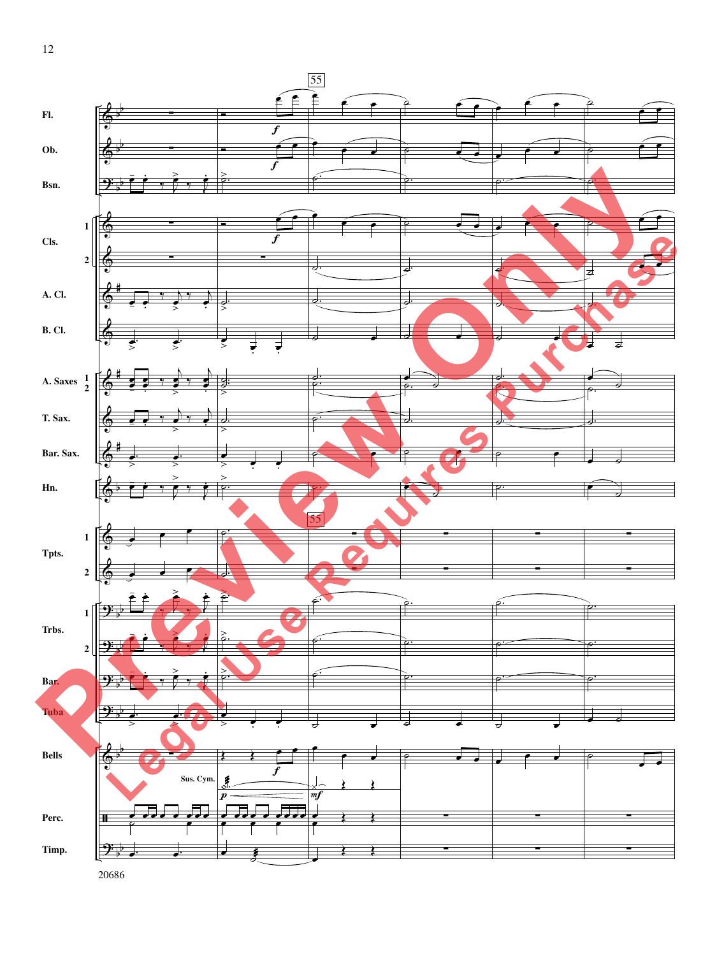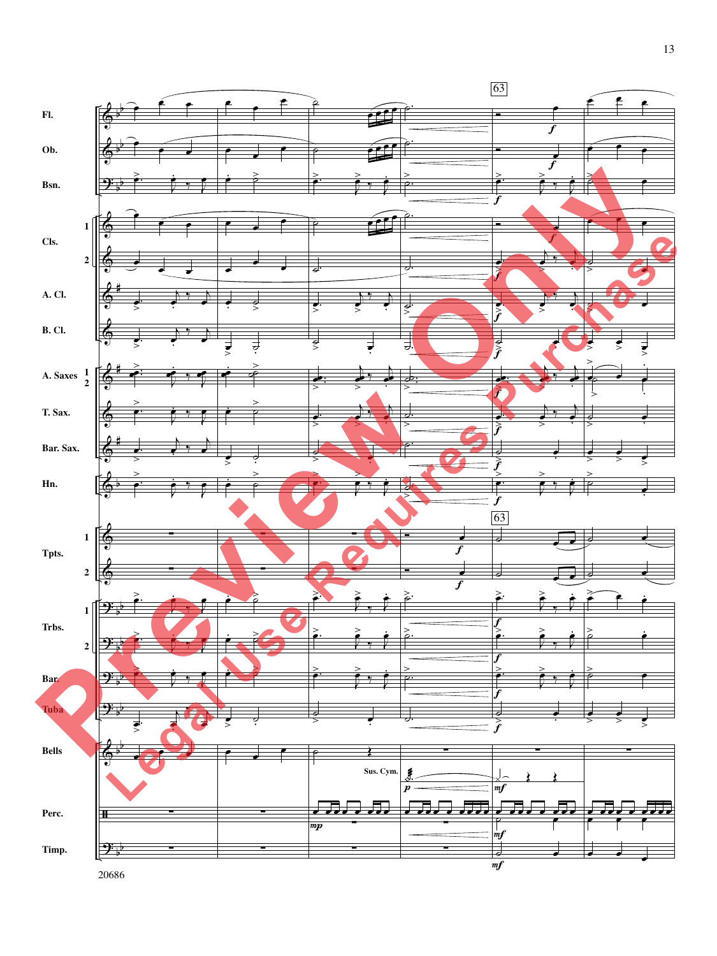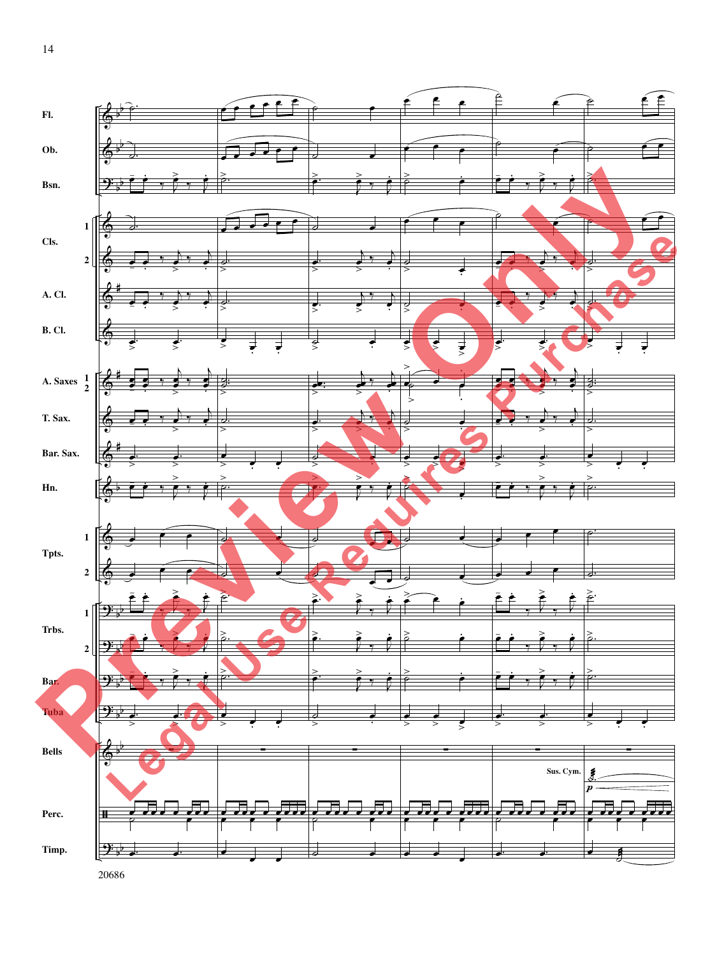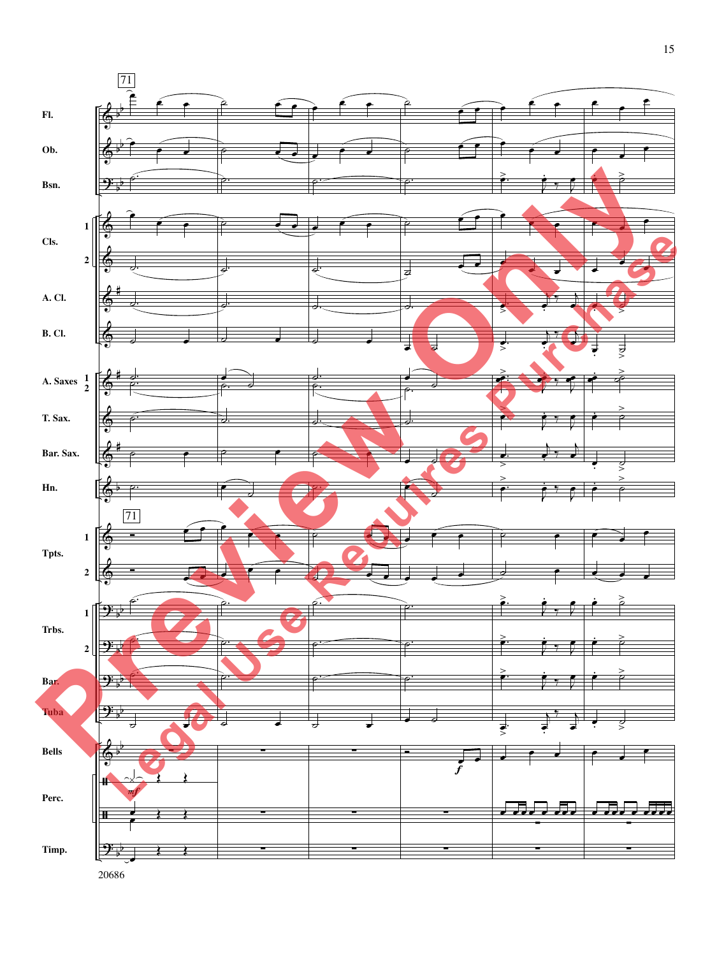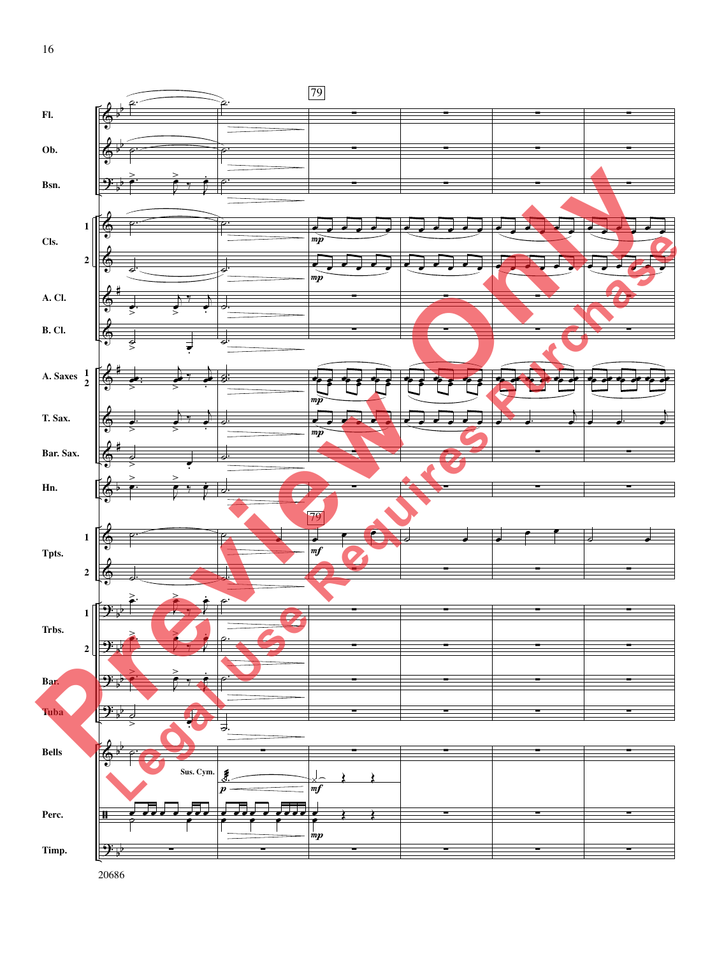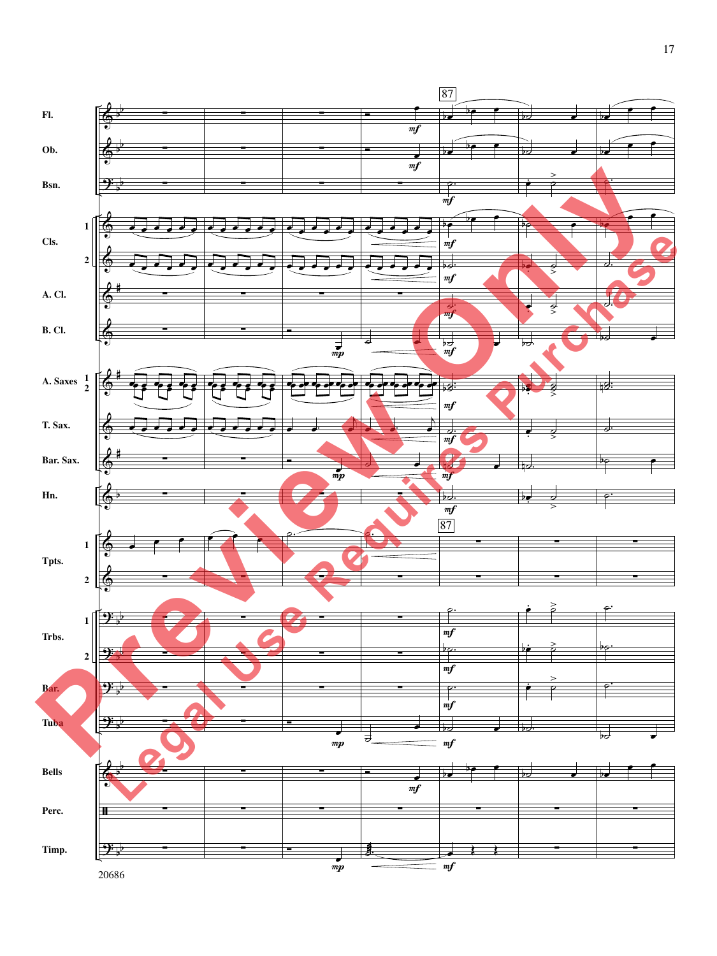

<sup>17</sup>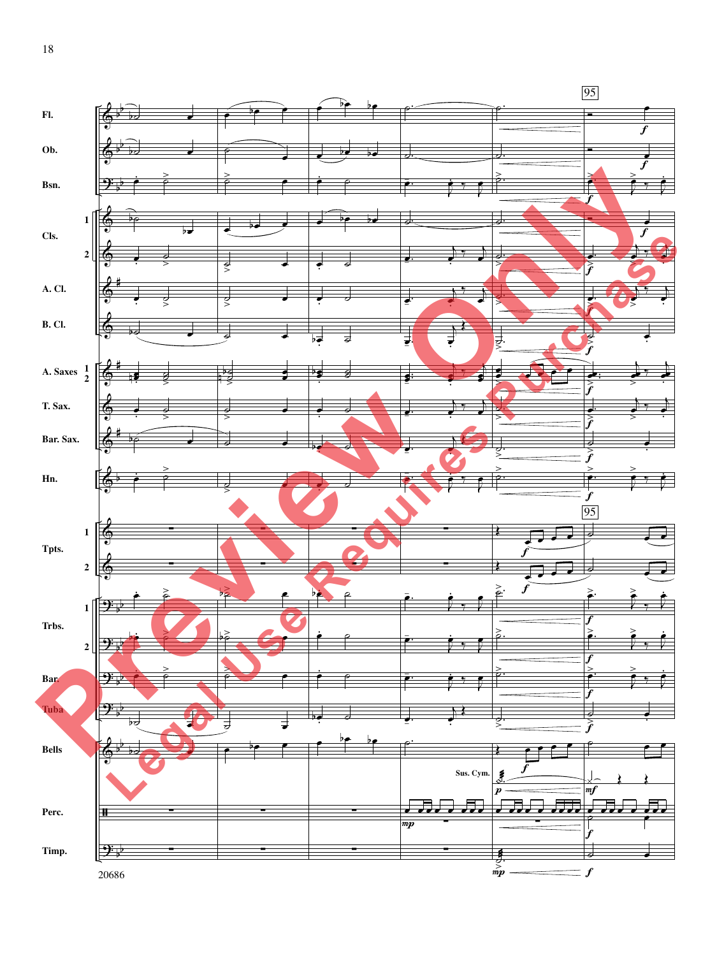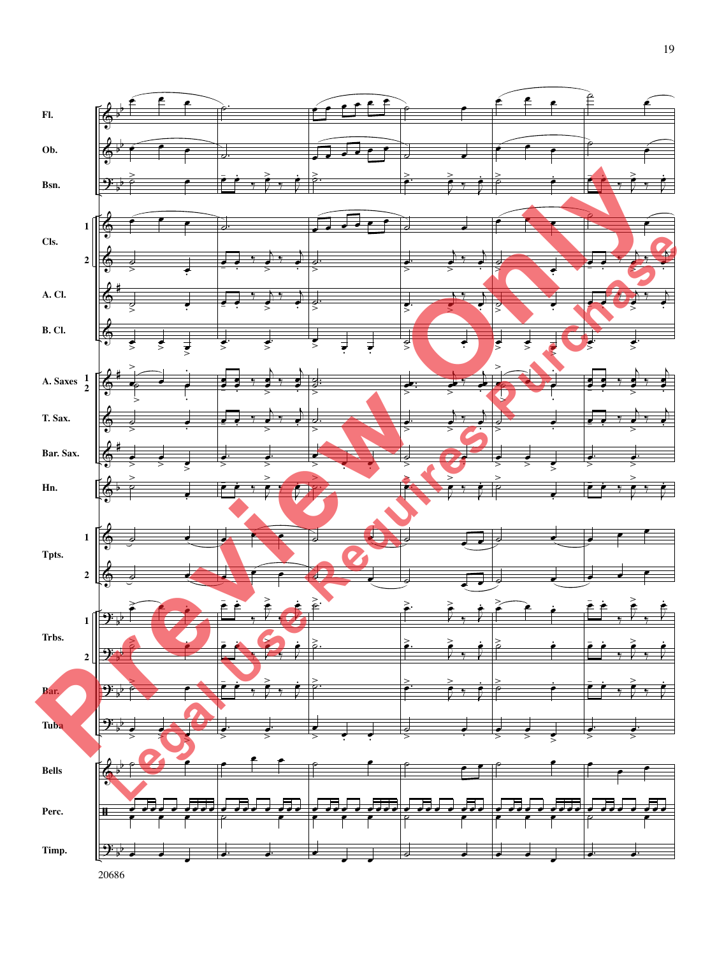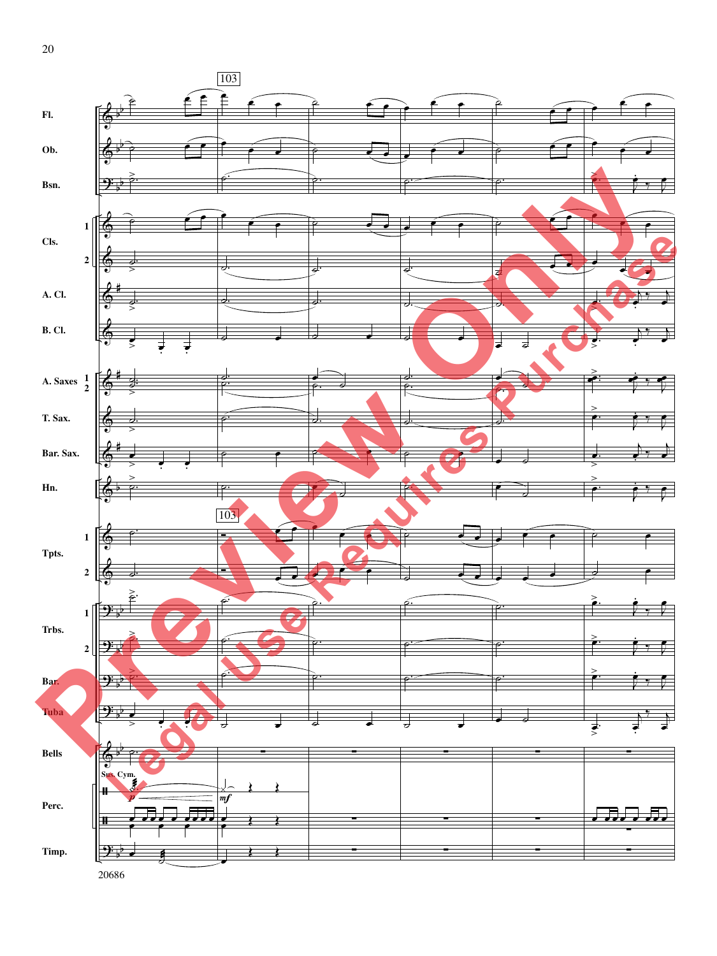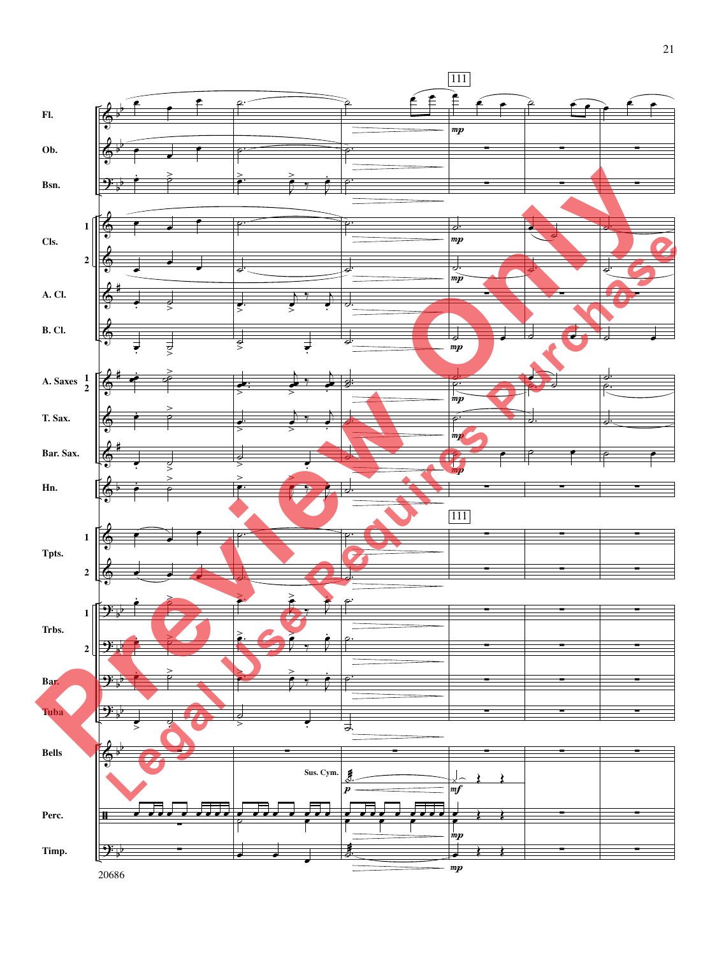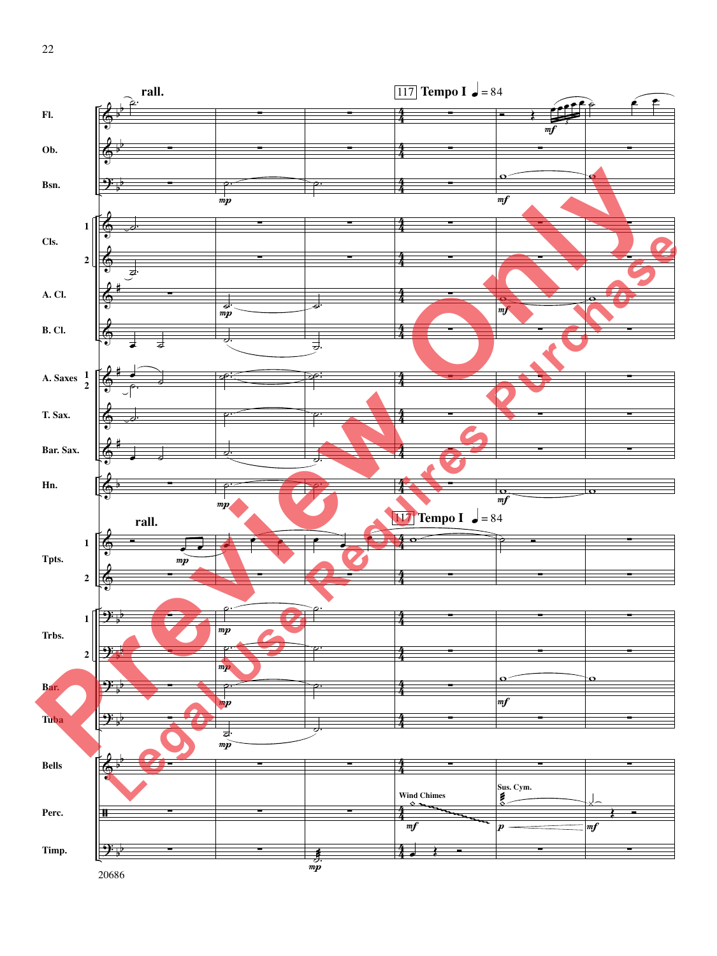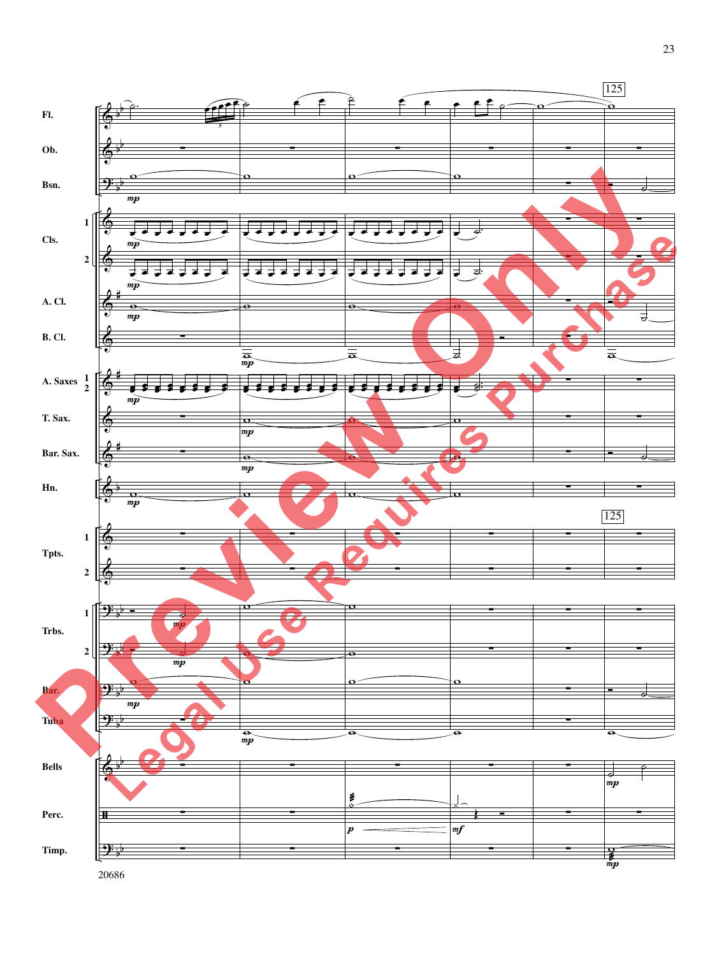